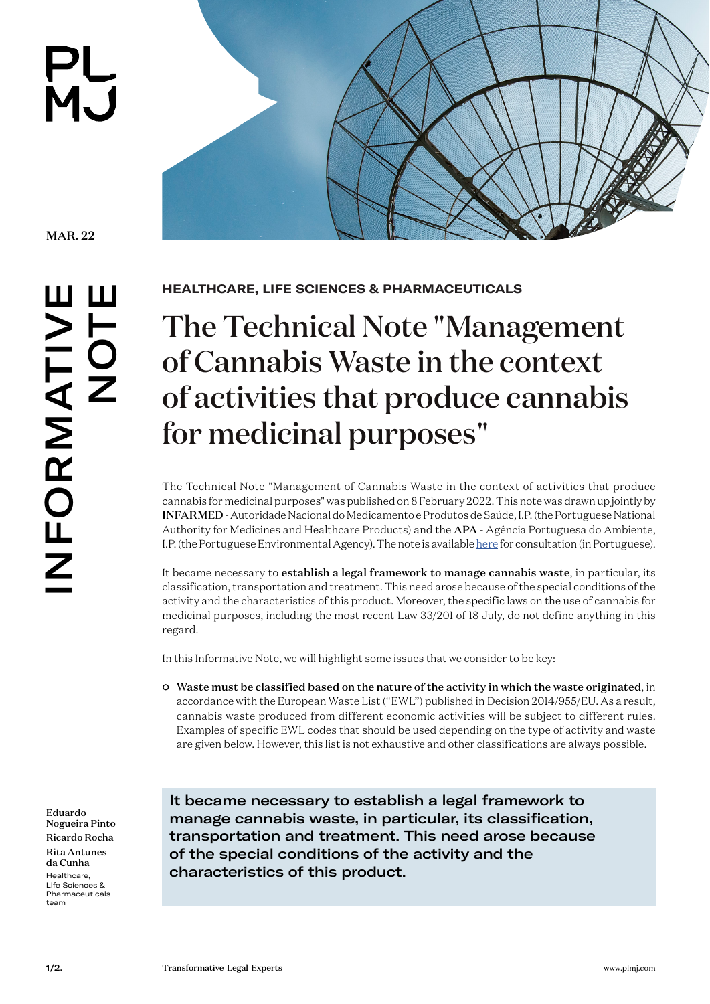**PL<br>MJ** 

MAR. 22

**[HEALTHCARE, LIFE SCIENCES & PHARMACEUTICALS](https://www.plmj.com/en/services/practice-areas/Healthcare-Life-Sciences-Pharmaceuticals/2907/)**

## The Technical Note "Management of Cannabis Waste in the context of activities that produce cannabis for medicinal purposes"

The Technical Note "Management of Cannabis Waste in the context of activities that produce cannabis for medicinal purposes" was published on 8 February 2022. This note was drawn up jointly by INFARMED - Autoridade Nacional do Medicamento e Produtos de Saúde, I.P. (the Portuguese National Authority for Medicines and Healthcare Products) and the APA - Agência Portuguesa do Ambiente, I.P. (the Portuguese Environmental Agency). The note is available [here](https://www.infarmed.pt/web/infarmed/infarmed/-/journal_content/56_INSTANCE_0000/15786/5649247?p_p_state=pop_up&_56_INSTANCE_0000_page=1&_56_INSTANCE_0000_viewMode=print) for consultation (in Portuguese).

It became necessary to establish a legal framework to manage cannabis waste, in particular, its classification, transportation and treatment. This need arose because of the special conditions of the activity and the characteristics of this product. Moreover, the specific laws on the use of cannabis for medicinal purposes, including the most recent Law 33/201 of 18 July, do not define anything in this regard.

In this Informative Note, we will highlight some issues that we consider to be key:

• Waste must be classified based on the nature of the activity in which the waste originated, in accordance with the European Waste List ("EWL") published in Decision 2014/955/EU. As a result, cannabis waste produced from different economic activities will be subject to different rules. Examples of specific EWL codes that should be used depending on the type of activity and waste are given below. However, this list is not exhaustive and other classifications are always possible.

[Eduardo](https://www.plmj.com/en/people/partners/eduardo-nogueira-pinto/108/)  [Nogueira Pinto](https://www.plmj.com/en/people/partners/eduardo-nogueira-pinto/108/) [Ricardo Rocha](https://www.plmj.com/en/people/senior-associates/ricardo-rocha/13899/) [Rita Antunes](https://www.plmj.com/en/people/trainees/rita-antunes-da-cunha/30960/) [da Cunha](https://www.plmj.com/en/people/trainees/rita-antunes-da-cunha/30960/) [Healthcare,](https://www.plmj.com/en/services/practice-areas/Healthcare-Life-Sciences-Pharmaceuticals/2907/)  [Life Sciences &](https://www.plmj.com/en/services/practice-areas/Healthcare-Life-Sciences-Pharmaceuticals/2907/)  [Pharmaceuticals](https://www.plmj.com/en/services/practice-areas/Healthcare-Life-Sciences-Pharmaceuticals/2907/) team

It became necessary to establish a legal framework to manage cannabis waste, in particular, its classification, transportation and treatment. This need arose because of the special conditions of the activity and the characteristics of this product.